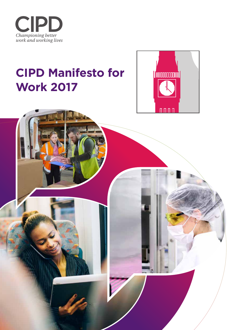

# **CIPD Manifesto for Work 2017**



ь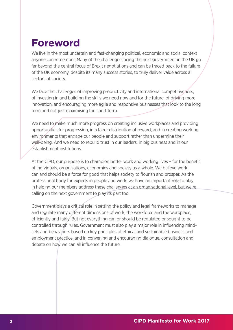### **Foreword**

We live in the most uncertain and fast-changing political, economic and social context anyone can remember. Many of the challenges facing the next government in the UK go far beyond the central focus of Brexit negotiations and can be traced back to the failure of the UK economy, despite its many success stories, to truly deliver value across all sectors of society.

We face the challenges of improving productivity and international competitiveness, of investing in and building the skills we need now and for the future, of driving more innovation, and encouraging more agile and responsive businesses that look to the long term and not just maximising the short term.

We need to make much more progress on creating inclusive workplaces and providing opportunities for progression, in a fairer distribution of reward, and in creating working environments that engage our people and support rather than undermine their well-being. And we need to rebuild trust in our leaders, in big business and in our establishment institutions.

At the CIPD, our purpose is to champion better work and working lives – for the benefit of individuals, organisations, economies and society as a whole. We believe work can and should be a force for good that helps society to flourish and prosper. As the professional body for experts in people and work, we have an important role to play in helping our members address these challenges at an organisational level, but we're calling on the next government to play its part too.

Government plays a critical role in setting the policy and legal frameworks to manage and regulate many different dimensions of work, the workforce and the workplace, efficiently and fairly. But not everything can or should be regulated or sought to be controlled through rules. Government must also play a major role in influencing mindsets and behaviours based on key principles of ethical and sustainable business and employment practice, and in convening and encouraging dialogue, consultation and debate on how we can all influence the future.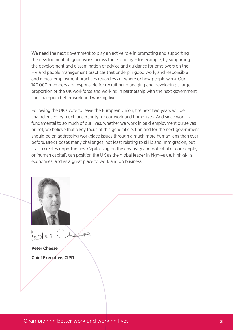We need the next government to play an active role in promoting and supporting the development of 'good work' across the economy – for example, by supporting the development and dissemination of advice and guidance for employers on the HR and people management practices that underpin good work, and responsible and ethical employment practices regardless of where or how people work. Our 140,000 members are responsible for recruiting, managing and developing a large proportion of the UK workforce and working in partnership with the next government can champion better work and working lives.

Following the UK's vote to leave the European Union, the next two years will be characterised by much uncertainty for our work and home lives. And since work is fundamental to so much of our lives, whether we work in paid employment ourselves or not, we believe that a key focus of this general election and for the next government should be on addressing workplace issues through a much more human lens than ever before. Brexit poses many challenges, not least relating to skills and immigration, but it also creates opportunities. Capitalising on the creativity and potential of our people, or 'human capital', can position the UK as the global leader in high-value, high-skills economies, and as a great place to work and do business.



olpe foster

**Peter Cheese Chief Executive, CIPD**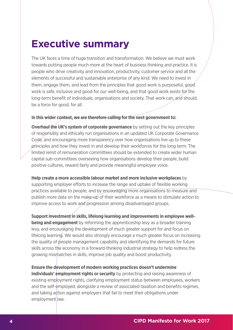### **Executive summary**

The UK faces a time of huge transition and transformation. We believe we must work towards putting people much more at the heart of business thinking and practice. It is people who drive creativity and innovation, productivity, customer service and all the elements of successful and sustainable enterprise of any kind. We need to invest in them, engage them, and lead from the principles that good work is purposeful, good work is safe, inclusive and good for our well-being, and that good work exists for the long-term benefit of individuals, organisations and society. That work can, and should, be a force for good, for all.

#### **In this wider context, we are therefore calling for the next government to:**

**Overhaul the UK's system of corporate governance** by setting out the key principles of responsibly and ethically run organisations in an updated UK Corporate Governance Code, and encouraging more transparency over how organisations live up to these principles and how they invest in and develop their workforces for the long term. The limited remit of remuneration committees should be extended to create wider human capital sub-committees overseeing how organisations develop their people, build positive cultures, reward fairly and provide meaningful employee voice.

**Help create a more accessible labour market and more inclusive workplaces** by supporting employer efforts to increase the range and uptake of flexible working practices available to people, and by encouraging more organisations to measure and publish more data on the make-up of their workforce as a means to stimulate action to improve access to work and progression among disadvantaged groups.

**Support investment in skills, lifelong learning and improvements in employee wellbeing and engagement** by reforming the apprenticeship levy as a broader training levy, and encouraging the development of much greater support for and focus on lifelong learning. We would also strongly encourage a much greater focus on increasing the quality of people management capability and identifying the demands for future skills across the economy in a forward-thinking industrial strategy to help redress the growing mismatches in skills, improve job quality and boost productivity.

**Ensure the development of modern working practices doesn't undermine individuals' employment rights or security** by protecting and raising awareness of existing employment rights, clarifying employment status between employees, workers and the self-employed, alongside a review of associated taxation and benefits regimes, and taking action against employers that fail to meet their obligations under employment law.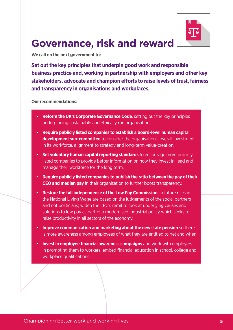

## **Governance, risk and reward**

**We call on the next government to:**

**Set out the key principles that underpin good work and responsible business practice and, working in partnership with employers and other key stakeholders, advocate and champion efforts to raise levels of trust, fairness and transparency in organisations and workplaces.** 

**Our recommendations:**

- **Reform the UK's Corporate Governance Code**, setting out the key principles underpinning sustainable and ethically run organisations.
- **Require publicly listed companies to establish a board-level human capital development sub-committee** to consider the organisation's overall investment in its workforce, alignment to strategy and long-term value-creation.
- **Set voluntary human capital reporting standards** to encourage more publicly listed companies to provide better information on how they invest in, lead and manage their workforce for the long term.
- **Require publicly listed companies to publish the ratio between the pay of their CEO and median pay** in their organisation to further boost transparency.
- **Restore the full independence of the Low Pay Commission** so future rises in the National Living Wage are based on the judgements of the social partners and not politicians; widen the LPC's remit to look at underlying causes and solutions to low pay as part of a modernised industrial policy which seeks to raise productivity in all sectors of the economy.
- **Improve communication and marketing about the new state pension** so there is more awareness among employees of what they are entitled to get and when.
- **Invest in employee financial awareness campaigns** and work with employers in promoting them to workers; embed financial education in school, college and workplace qualifications.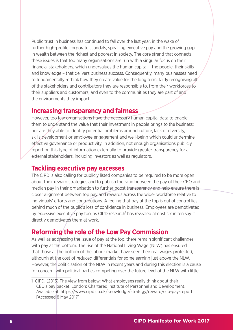Public trust in business has continued to fall over the last year, in the wake of further high-profile corporate scandals, spiralling executive pay and the growing gap in wealth between the richest and poorest in society. The core strand that connects these issues is that too many organisations are run with a singular focus on their financial stakeholders, which undervalues the human capital – the people, their skills and knowledge – that delivers business success. Consequently, many businesses need to fundamentally rethink how they create value for the long term, fairly recognising all of the stakeholders and contributors they are responsible to, from their workforces to their suppliers and customers, and even to the communities they are part of and the environments they impact.

#### **Increasing transparency and fairness**

However, too few organisations have the necessary human capital data to enable them to understand the value that their investment in people brings to the business; nor are they able to identify potential problems around culture, lack of diversity, skills development or employee engagement and well-being which could undermine effective governance or productivity. In addition, not enough organisations publicly report on this type of information externally to provide greater transparency for all external stakeholders, including investors as well as regulators.

#### **Tackling executive pay excesses**

The CIPD is also calling for publicly listed companies to be required to be more open about their reward strategies and to publish the ratio between the pay of their CEO and median pay in their organisation to further boost transparency and help ensure there is closer alignment between top pay and rewards across the wider workforce relative to individuals' efforts and contributions. A feeling that pay at the top is out of control lies behind much of the public's loss of confidence in business. Employees are demotivated by excessive executiye pay too, as CIPD research<sup>1</sup> has revealed almost six in ten say it directly demotivates them at work.

### **Reforming the role of the Low Pay Commission**

As well as addressing the issue of pay at the top, there remain significant challenges with pay at the bottom. The rise of the National Living Wage (NLW) has ensured that those at the bottom of the labour market have seen their real wages protected. although at the cost of reduced differentials for some earning just above the NLW. However, the politicisation of the NLW in recent years and during this election is a cause for concern, with political parties competing over the future level of the NLW with little

<sup>1</sup> CIPD. (2015) The view from below: What employees really think about their CEO's pay packet. London: Chartered Institute of Personnel and Development. Available at: https://www.cipd.co.uk/knowledge/strategy/reward/ceo-pay-report [Accessed 8 May 2017].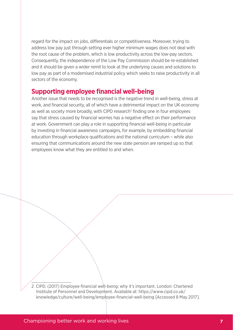regard for the impact on jobs, differentials or competitiveness. Moreover, trying to address low pay just through setting ever higher minimum wages does not deal with the root cause of the problem, which is low productivity across the low-pay sectors. Consequently, the independence of the Low Pay Commission should be re-established and it should be given a wider remit to look at the underlying causes and solutions to low pay as part of a modernised industrial policy which seeks to raise productivity in all sectors of the economy.

### **Supporting employee financial well-being**

Another issue that needs to be recognised is the negative trend in well-being, stress at work, and financial security, all of which have a detrimental impact on the UK economy as well as society more broadly, with CIPD research<sup>2</sup> finding one in four employees say that stress caused by financial worries has a negative effect on their performance at work. Government can play a role in supporting financial well-being in particular by investing in financial awareness campaigns, for example, by embedding financial education through workplace qualifications and the national curriculum – while also ensuring that communications around the new state pension are ramped up so that employees know what they are entitled to and when.

<sup>2</sup> CIPD. (2017) Employee financial well-being: why it's important. London: Chartered Institute of Personnel and Development. Available at: https://www.cipd.co.uk/ knowledge/culture/well-being/employee-financial-well-being [Accessed 8 May 2017].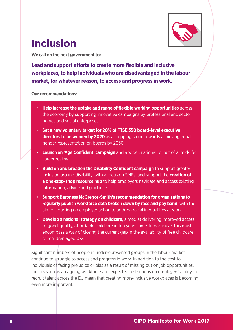

### **Inclusion**

**We call on the next government to:**

**Lead and support efforts to create more flexible and inclusive workplaces, to help individuals who are disadvantaged in the labour market, for whatever reason, to access and progress in work.**

**Our recommendations:**

- **Help increase the uptake and range of flexible working opportunities** across the economy by supporting innovative campaigns by professional and sector bodies and social enterprises.
- **Set a new voluntary target for 20% of FTSE 350 board-level executive directors to be women by 2020** as a stepping stone towards achieving equal gender representation on boards by 2030.
- **Launch an 'Age Confident' campaign** and a wider, national rollout of a 'mid-life' career review.
- **Build on and broaden the Disability Confident campaign** to support greater inclusion around disability, with a focus on SMEs, and support the **creation of a one-stop-shop resource hub** to help employers navigate and access existing information, advice and guidance.
- **Support Baroness McGregor-Smith's recommendation for organisations to regularly publish workforce data broken down by race and pay band**, with the aim of spurring on employer action to address racial inequalities at work.
- **Develop a national strategy on childcare**, aimed at delivering improved access to good-quality, affordable childcare in ten years' time. In particular, this must encompass a way of closing the current gap in the availability of free childcare for children aged 0-2.

Significant numbers of people in underrepresented groups in the labour market continue to struggle to access and progress in work. In addition to the cost to individuals of facing prejudice or bias as a result of missing out on job opportunities, factors such as an ageing workforce and expected restrictions on employers' ability to recruit talent across the EU mean that creating more-inclusive workplaces is becoming even more important.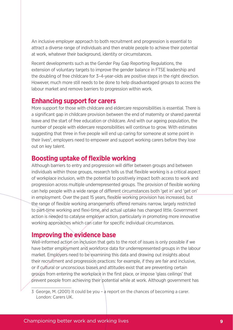An inclusive employer approach to both recruitment and progression is essential to attract a diverse range of individuals and then enable people to achieve their potential at work, whatever their background, identity or circumstances.

Recent developments such as the Gender Pay Gap Reporting Regulations, the extension of voluntary targets to improve the gender balance in FTSE leadership and the doubling of free childcare for 3–4-year-olds are positive steps in the right direction. However, much more still needs to be done to help disadvantaged groups to access the labour market and remove barriers to progression within work.

### **Enhancing support for carers**

More support for those with childcare and eldercare responsibilities is essential. There is a significant gap in childcare provision between the end of maternity or shared parental leave and the start of free education or childcare. And with our ageing population, the number of people with eldercare responsibilities will continue to grow. With estimates suggesting that three in five people will end up caring for someone at some point in their lives<sup>3</sup>, employers need to empower and support working carers before they lose out on key talent.

### **Boosting uptake of flexible working**

Although barriers to entry and progression will differ between groups and between individuals within those groups, research tells us that flexible working is a critical aspect of workplace inclusion, with the potential to positively impact both access to work and progression across multiple underrepresented groups. The provision of flexible working can help people with a wide range of different circumstances both 'get in' and 'get on' in employment. Over the past 15 years, flexible working provision has increased, but the range of flexible working arrangements offered remains narrow, largely restricted to part-time working and flexi-time, and actual uptake has changed little. Government action is needed to catalyse employer action, particularly in promoting more innovative working approaches which can cater for specific individual circumstances.

### **Improving the evidence base**

Well-informed action on inclusion that gets to the root of issues is only possible if we have better employment and workforce data for underrepresented groups in the labour market. Employers need to be examining this data and drawing out insights about their recruitment and progression practices: for example, if they are fair and inclusive, or if cultural or unconscious biases and attitudes exist that are preventing certain groups from entering the workplace in the first place, or impose 'glass ceilings' that prevent people from achieving their potential while at work. Although government has

<sup>3</sup> George, M. (2001) It could be you – a report on the chances of becoming a carer. London: Carers UK.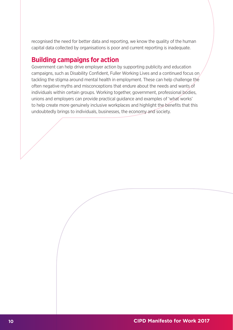recognised the need for better data and reporting, we know the quality of the human capital data collected by organisations is poor and current reporting is inadequate.

### **Building campaigns for action**

Government can help drive employer action by supporting publicity and education campaigns, such as Disability Confident, Fuller Working Lives and a continued focus on tackling the stigma around mental health in employment. These can help challenge the often negative myths and misconceptions that endure about the needs and wants of individuals within certain groups. Working together, government, professional bodies, unions and employers can provide practical guidance and examples of 'what works' to help create more genuinely inclusive workplaces and highlight the benefits that this undoubtedly brings to individuals, businesses, the economy and society.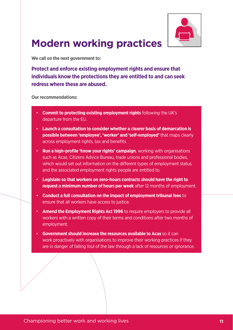

### **Modern working practices**

**We call on the next government to:**

**Protect and enforce existing employment rights and ensure that individuals know the protections they are entitled to and can seek redress where these are abused.**

**Our recommendations:**

- **Commit to protecting existing employment rights** following the UK's departure from the EU.
- **Launch a consultation to consider whether a clearer basis of demarcation is possible between 'employee', 'worker' and 'self-employed'** that maps clearly across employment rights, tax and benefits.
- **Run a high-profile 'know your rights' campaign**, working with organisations such as Acas, Citizens Advice Bureau, trade unions and professional bodies, which would set out information on the different types of employment status and the associated employment rights people are entitled to.
- **Legislate so that workers on zero-hours contracts should have the right to request a minimum number of hours per week** after 12 months of employment.
- **Conduct a full consultation on the impact of employment tribunal fees** to ensure that all workers have access to justice.
- **Amend the Employment Rights Act 1996** to require employers to provide all workers with a written copy of their terms and conditions after two months of employment.
- **Government should increase the resources available to Acas** so it can work proactively with organisations to improve their working practices if they are in danger of falling foul of the law through a lack of resources or ignorance.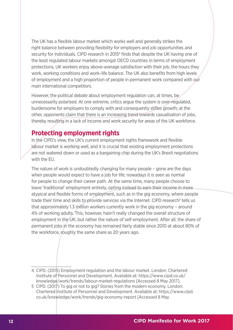The UK has a flexible labour market which works well and generally strikes the right balance between providing flexibility for employers and job opportunities and security for individuals. CIPD research in 2015<sup>4</sup> finds that despite the UK having one of the least regulated labour markets amongst OECD countries in terms of employment protections, UK workers enjoy above-average satisfaction with their job, the hours they work, working conditions and work–life balance. The UK also benefits from high levels of employment and a high proportion of people in permanent work compared with our main international competitors.

However, the political debate about employment regulation can, at times, be unnecessarily polarised. At one extreme, critics argue the system is over-regulated, burdensome for employers to comply with and consequently stifles growth; at the other, opponents claim that there is an increasing trend towards casualisation of jobs, thereby resulting in a lack of income and work security for areas of the UK workforce.

### **Protecting employment rights**

In the CIPD's view, the UK's current employment rights framework and flexible labour market is working well, and it is crucial that existing employment protections are not watered down or used as a bargaining chip during the UK's Brexit negotiations with the EU.

The nature of work is undoubtedly changing for many people – gone are the days when people would expect to have a job for life; nowadays it is seen as normal for people to change their career path. At the same time, many people choose to leave 'traditional' employment entirely, opting instead to earn their income in more atypical and flexible forms of employment, such as in the gig economy, where people trade their time and skills to provide services via the Internet. CIPD research<sup>5</sup> tells us that approximately 1.3 million workers currently work in the gig economy – around 4% of working adults. This, however, hasn't really changed the overall structure of employment in the UK, but rather the nature of self-employment. After all, the share of permanent jobs in the economy has remained fairly stable since 2010 at about 80% of the workforce, roughly the same share as 20 years ago.

<sup>4</sup> CIPD. (2015) Employment regulation and the labour market. London: Chartered Institute of Personnel and Development. Available at: https://www.cipd.co.uk/ knowledge/work/trends/labour-market-regulations [Accessed 8 May 2017].

<sup>5</sup> CIPD. (2017) To gig or not to gig? Stories from the modern economy. London: Chartered Institute of Personnel and Development. Available at: https://www.cipd. co.uk/knowledge/work/trends/gig-economy-report [Accessed 8 May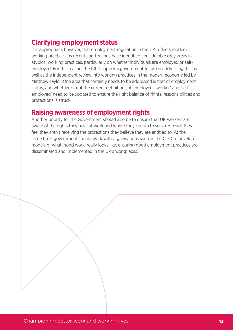### **Clarifying employment status**

It is appropriate, however, that employment regulation in the UK reflects modern working practices, as recent court rulings have identified considerable grey areas in atypical working practices, particularly on whether individuals are employed or selfemployed. For this reason, the CIPD supports government focus on addressing this as well as the independent review into working practices in the modern economy led by Matthew Taylor. One area that certainly needs to be addressed is that of employment status, and whether or not the current definitions of 'employee', 'worker' and 'selfemployed' need to be updated to ensure the right balance of rights, responsibilities and protections is struck.

### **Raising awareness of employment rights**

Another priority for the Government should also be to ensure that UK workers are aware of the rights they have at work and where they can go to seek redress if they feel they aren't receiving the protections they believe they are entitled to. At the same time, government should work with organisations such as the CIPD to develop models of what 'good work' really looks like, ensuring good employment practices are disseminated and implemented in the UK's workplaces.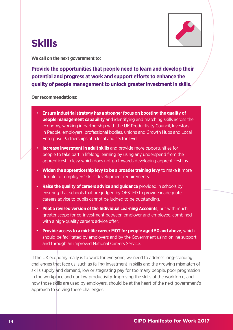



**We call on the next government to:**

**Provide the opportunities that people need to learn and develop their potential and progress at work and support efforts to enhance the quality of people management to unlock greater investment in skills.**

**Our recommendations:**

- **Ensure industrial strategy has a stronger focus on boosting the quality of people management capability** and identifying and matching skills across the economy, working in partnership with the UK Productivity Council, Investors in People, employers, professional bodies, unions and Growth Hubs and Local Enterprise Partnerships at a local and sector level.
- **Increase investment in adult skills** and provide more opportunities for people to take part in lifelong learning by using any underspend from the apprenticeship levy which does not go towards developing apprenticeships.
- **Widen the apprenticeship levy to be a broader training levy** to make it more flexible for employers' skills development requirements.
- **Raise the quality of careers advice and guidance** provided in schools by ensuring that schools that are judged by OFSTED to provide inadequate careers advice to pupils cannot be judged to be outstanding.
- **Pilot a revised version of the Individual Learning Accounts**, but with much greater scope for co-investment between employer and employee, combined with a high-quality careers advice offer.
- **Provide access to a mid-life career MOT for people aged 50 and above**, which should be facilitated by employers and by the Government using online support and through an improved National Careers Service.

If the UK economy really is to work for everyone, we need to address long-standing challenges that face us, such as falling investment in skills and the growing mismatch of skills supply and demand, low or stagnating pay for too many people, poor progression in the workplace and our low productivity. Improving the skills of the workforce, and how those skills are used by employers, should be at the heart of the next government's approach to solving these challenges.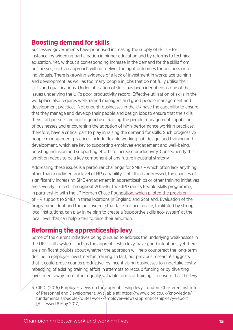### **Boosting demand for skills**

Successive governments have prioritised increasing the supply of skills – for instance, by widening participation in higher education and by reforms to technical education. Yet, without a corresponding increase in the demand for the skills from businesses, such an approach will not deliver the right outcomes for business or for individuals. There is growing evidence of a lack of investment in workplace training and development, as well as too many people in jobs that do not fully utilise their skills and qualifications. Under-utilisation of skills has been identified as one of the issues underlying the UK's poor productivity record. Effective utilisation of skills in the workplace also requires well-trained managers and good people management and development practices. Not enough businesses in the UK have the capability to ensure that they manage and develop their people and design jobs to ensure that the skills their staff possess are put to good use. Raising the people management capabilities of businesses and encouraging the adoption of high-performance working practices, therefore, have a critical part to play in raising the demand for skills. Such progressive people management practices include flexible working, job design, and training and development, which are key to supporting employee engagement and well-being, boosting inclusion and supporting efforts to increase productivity. Consequently this ambition needs to be a key component of any future industrial strategy.

Addressing these issues is a particular challenge for SMEs – which often lack anything other than a rudimentary level of HR capability. Until this is addressed, the chances of significantly increasing SME engagement in apprenticeships or other training initiatives are severely limited. Throughout 2015–16, the CIPD ran its People Skills programme, in partnership with the JP Morgan Chase Foundation, which piloted the provision of HR support to SMEs in three locations in England and Scotland. Evaluation of the programme identified the positive role that face-to-face advice, facilitated by strong local institutions, can play in helping to create a 'supportive skills eco-system' at the local level that can help SMEs to raise their ambition.

### **Reforming the apprenticeship levy**

Some of the current initiatives being pursued to address the underlying weaknesses in the UK's skills system, such as the apprenticeship levy, have good intentions, yet there are significant doubts about whether the approach will help counteract the long-term decline in employer investment in training. In fact, our previous research<sup>6</sup> suggests that it could prove counterproductive, by incentivising businesses to undertake costly rebadging of existing training effort in attempts to recoup funding or by diverting investment away from other equally valuable forms of training. To ensure that the levy

<sup>6</sup> CIPD. (2016) Employer views on the apprenticeship levy. London: Chartered Institute of Personnel and Development. Available at: https://www.cipd.co.uk/knowledge/ fundamentals/people/routes-work/employer-views-apprenticeship-levy-report [Accessed 8 May 2017].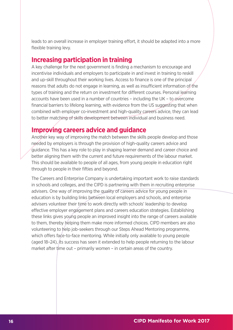leads to an overall increase in employer training effort, it should be adapted into a more flexible training levy.

#### **Increasing participation in training**

A key challenge for the next government is finding a mechanism to encourage and incentivise individuals and employers to participate in and invest in training to reskill and up-skill throughout their working lives. Access to finance is one of the principal reasons that adults do not engage in learning, as well as insufficient information of the types of training and the return on investment for different courses. Personal learning accounts have been used in a number of countries – including the UK – to overcome financial barriers to lifelong learning, with evidence from the US suggesting that when combined with employer co-investment and high-quality careers advice, they can lead to better matching of skills development between individual and business need.

#### **Improving careers advice and guidance**

Another key way of improving the match between the skills people develop and those needed by employers is through the provision of high-quality careers advice and guidance. This has a key role to play in shaping learner demand and career choice and better aligning them with the current and future requirements of the labour market. This should be available to people of all ages, from young people in education right through to people in their fifties and beyond.

The Careers and Enterprise Company is undertaking important work to raise standards in schools and colleges, and the CIPD is partnering with them in recruiting enterprise advisers. One way of improving the quality of careers advice for young people in education is by building links between local employers and schools, and enterprise advisers volunteer their time to work directly with schools' leadership to develop effective employer engagement plans and careers education strategies. Establishing these links gives young people an improved insight into the range of careers available to them, thereby helping them make more informed choices. CIPD members are also volunteering to help job-seekers through our Steps Ahead Mentoring programme, which offers face-to-face mentoring. While initially only available to young people (aged 18–24), its success has seen it extended to help people returning to the labour market after time out – primarily women – in certain areas of the country.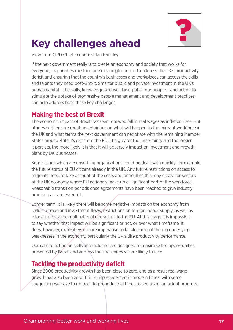

## **Key challenges ahead**

View from CIPD Chief Economist Ian Brinkley

If the next government really is to create an economy and society that works for everyone, its priorities must include meaningful action to address the UK's productivity deficit and ensuring that the country's businesses and workplaces can access the skills and talents they need post-Brexit. Smarter public and private investment in the UK's human capital – the skills, knowledge and well-being of all our people – and action to stimulate the uptake of progressive people management and development practices can help address both these key challenges.

### **Making the best of Brexit**

The economic impact of Brexit has seen renewed fall in real wages as inflation rises. But otherwise there are great uncertainties on what will happen to the migrant workforce in the UK and what terms the next government can negotiate with the remaining Member States around Britain's exit from the EU. The greater the uncertainty and the longer it persists, the more likely it is that it will adversely impact on investment and growth plans by UK businesses.

Some issues which are unsettling organisations could be dealt with quickly, for example, the future status of EU citizens already in the UK. Any future restrictions on access to migrants need to take account of the costs and difficulties this may create for sectors of the UK economy where EU nationals make up a significant part of the workforce. Reasonable transition periods once agreements have been reached to give industry time to react are essential.

Longer term, it is likely there will be some negative impacts on the economy from reduced trade and investment flows, restrictions on foreign labour supply, as well as relocation of some multinational operations to the EU. At this stage it is impossible to say whether that impact will be significant or not, or over what timeframe. It does, however, make it even more imperative to tackle some of the big underlying weaknesses in the economy, particularly the UK's dire productivity performance.

Our calls to action on skills and inclusion are designed to maximise the opportunities presented by Brexit and address the challenges we are likely to face.

### **Tackling the productivity deficit**

Since 2008 productivity growth has been close to zero, and as a result real wage growth has also been zero. This is unprecedented in modern times, with some suggesting we have to go back to pre-industrial times to see a similar lack of progress.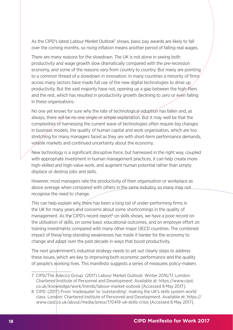As the CIPD's latest *Labour Market Outlook<sup>7</sup>* shows, basic pay awards are likely to fall over the coming months, so rising inflation means another period of falling real wages.

There are many reasons for the slowdown. The UK is not alone in seeing both productivity and wage growth slow dramatically compared with the pre-recession economy, and some of the reasons vary from country to country. But many are pointing to a common thread of a slowdown in innovation. In many countries a minority of firms across many sectors have made full use of the new digital technologies to drive up productivity. But the vast majority have not, opening up a gap between the high-fliers and the rest, which has resulted in productivity growth declining to zero or even falling in these organisations.

No one yet knows for sure why the rate of technological adoption has fallen and, as always, there will be no one single or simple explanation. But it may well be that the complexities of harnessing the current wave of technologies often require big changes in business models, the quality of human capital and work organisation, which are too stretching for many managers faced as they are with short-term performance demands, volatile markets and continued uncertainty about the economy.

New technology is a significant disruptive force, but harnessed in the right way, coupled with appropriate investment in human management practices, it can help create more high-skilled and high-value work, and augment human potential rather than simply displace or destroy jobs and skills.

However, most managers rate the productivity of their organisation or workplace as above average when compared with others in the same industry, so many may not recognise the need to change.

This can help explain why there has been a long tail of under-performing firms in the UK for many years and concerns about some shortcomings in the quality of management. As the CIPD's recent report<sup>8</sup> on skills shows, we have a poor record on the utilisation of skills, on some basic educational outcomes, and on employer effort on training investments compared with many other major OECD countries. The combined impact of these long-standing weaknesses has made it harder for the economy to change and adapt over the past decade in ways that boost productivity.

The next government's industrial strategy needs to set out clearly steps to address these issues, which are key to improving both economic performance and the quality of people's working lives. This manifesto suggests a series of measures policy-makers

<sup>7</sup> CIPD/The Adecco Group. (2017) Labour Market Outlook: Winter 2016/17. London: Chartered Institute of Personnel and Development. Available at: https://www.cipd. co.uk/knowledge/work/trends/labour-market-outlook [Accessed 8 May 2017].

<sup>8</sup> CIPD. (2017) From 'inadequate' to 'outstanding': making the UK's skills system world class. London: Chartered Institute of Personnel and Development. Available at: https:// www.cipd.co.uk/about/media/press/170419-uk-skills-crisis [Accessed 8 May 2017].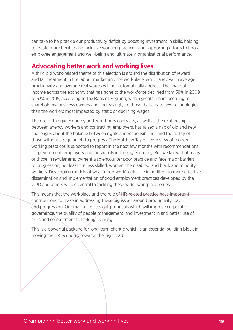can take to help tackle our productivity deficit by boosting investment in skills, helping to create more flexible and inclusive working practices, and supporting efforts to boost employee engagement and well-being and, ultimately, organisational performance.

### **Advocating better work and working lives**

A third big work-related theme of this election is around the distribution of reward and fair treatment in the labour market and the workplace, which a revival in average productivity and average real wages will not automatically address. The share of income across the economy that has gone to the workforce declined from 58% in 2009 to 53% in 2015, according to the Bank of England, with a greater share accruing to shareholders, business owners and, increasingly, to those that create new technologies, than the workers most impacted by static or declining wages.

The rise of the gig economy and zero-hours contracts, as well as the relationship between agency workers and contracting employers, has raised a mix of old and new challenges about the balance between rights and responsibilities and the ability of those without a regular job to progress. The Matthew Taylor-led review of modern working practices is expected to report in the next few months with recommendations for government, employers and individuals in the gig economy. But we know that many of those in regular employment also encounter poor practice and face major barriers to progression, not least the less skilled, women, the disabled, and black and minority workers. Developing models of what 'good work' looks like in addition to more effective dissemination and implementation of good employment practices developed by the CIPD and others will be central to tackling these wider workplace issues.

This means that the workplace and the role of HR-related practice have important contributions to make in addressing these big issues around productivity, pay and progression. Our manifesto sets out proposals which will improve corporate governance, the quality of people management, and investment in and better use of skills and commitment to lifelong learning.

This is a powerful package for long-term change which is an essential building block in moving the UK economy towards the high road.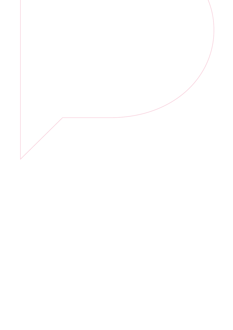